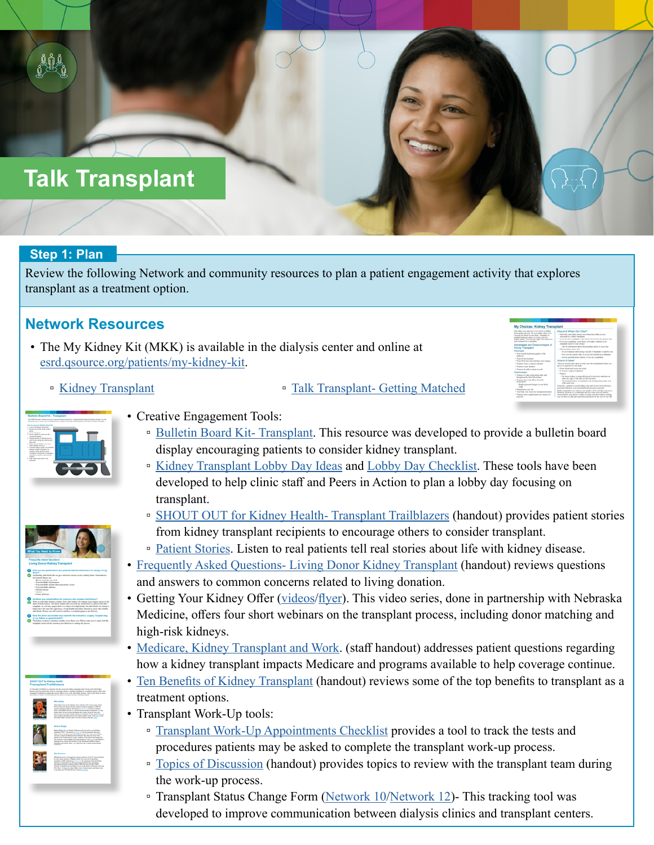# **Talk Transplant**

## **Step 1: Plan**

Review the following Network and community resources to plan a patient engagement activity that explores transplant as a treatment option.

## **Network Resources**

- The My Kidney Kit (MKK) is available in the dialysis center and online at [esrd.qsource.org/patients/my-kidney-kit](http://esrd.qsource.org/patients/my-kidney-kit).
	-

■ [Kidney Transplant](http://resourcehub.exchange/download/my-choices-kidney-transplant-2/?wpdmdl=5150&refresh=5e0f8f00987ad1578077952) ● [Talk Transplant- Getting Matched](https://resourcehub.exchange/download/my-choices-getting-matched-2/?wpdmdl=5156&refresh=623b965c71c291648072284)





- Creative Engagement Tools:
	- [Bulletin Board Kit- Transplant.](https://resourcehub.exchange/download/transplant-bulletin-board-kit/?wpdmdl=5804&refresh=5e7b776150cb31585149793) This resource was developed to provide a bulletin board display encouraging patients to consider kidney transplant.
	- [Kidney Transplant Lobby Day Ideas](http://resourcehub.exchange/download/kidney-transplant-lobby-day-ideas/?wpdmdl=4745&refresh=5e5eb1382652a1583264056) and [Lobby Day Checklist.](http://resourcehub.exchange/download/lobby-day-checklist/?wpdmdl=4747&refresh=5e5eb2967b26f1583264406) These tools have been developed to help clinic staff and Peers in Action to plan a lobby day focusing on transplant.
	- [SHOUT OUT for Kidney Health- Transplant Trailblazers](https://resourcehub.exchange/download/shout-out-for-kidney-health-transplant-trailblazers/?wpdmdl=8320&refresh=603d429b0ca7c1614627483) (handout) provides patient stories from kidney transplant recipients to encourage others to consider transplant.
	- <sup>•</sup> [Patient Stories](https://esrd.qsource.org/patients/patient-stories/). Listen to real patients tell real stories about life with kidney disease.
- [Frequently Asked Questions- Living Donor Kidney Transplant](https://resourcehub.exchange/download/living-donation-faq/?wpdmdl=6547&refresh=5ecfcc95b62b71590676629) (handout) reviews questions and answers to common concerns related to living donation.
- Getting Your Kidney Offer ([videos/](https://esrd.qsource.org/quality-improvement/transplant-referral/)[flyer](https://resourcehub.exchange/download/getting-your-kidney-offer-video-series/?wpdmdl=8281&refresh=6036ba025cf741614199298)). This video series, done in partnership with Nebraska Medicine, offers four short webinars on the transplant process, including donor matching and high-risk kidneys.
- [Medicare, Kidney Transplant and Work](http://resourcehub.exchange/download/medicare-kidney-transplant-and-work/?wpdmdl=5698&refresh=5e5eafa6eb1691583263654). (staff handout) addresses patient questions regarding how a kidney transplant impacts Medicare and programs available to help coverage continue.
- [Ten Benefits of Kidney Transplant](http://resourcehub.exchange/download/ten-benefits-of-kidney-transplant/?wpdmdl=5700&refresh=5e5eb24d2b57b1583264333) (handout) reviews some of the top benefits to transplant as a treatment options.
- Transplant Work-Up tools:
	- □ [Transplant Work-Up Appointments Checklist](https://resourcehub.exchange/download/transplant-work-up-appointments-checklist/?wpdmdl=6032&refresh=5e8f44252fd251586447397) provides a tool to track the tests and procedures patients may be asked to complete the transplant work-up process.
	- [Topics of Discussion](https://resourcehub.exchange/download/transplant-discussion-topics/?wpdmdl=6166&refresh=5ecfcdc5e54051590676933) (handout) provides topics to review with the transplant team during the work-up process.
	- □ Transplant Status Change Form ([Network 10](https://resourcehub.exchange/download/nw-10-transplant-status-change-form/?wpdmdl=6699&refresh=623b97038999f1648072451)[/Network 12](https://resourcehub.exchange/download/nw-12-transplant-status-change-form/?wpdmdl=6700&refresh=604a6d59188f11615490393))- This tracking tool was developed to improve communication between dialysis clinics and transplant centers.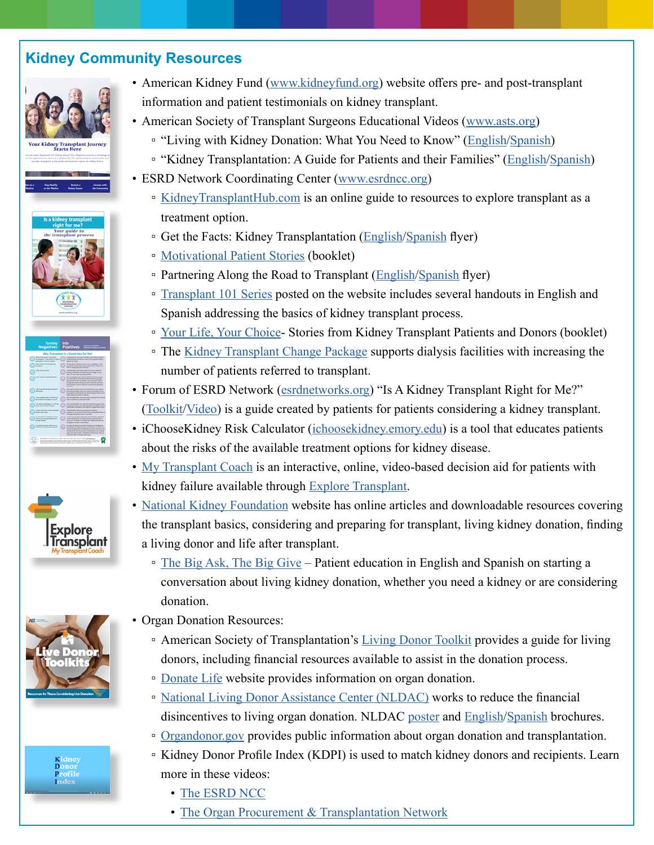## **Kidney Community Resources**













- American Kidney Fund ([www.kidneyfund.org](http://www.kidneyfund.org)) website offers pre- and post-transplant information and patient testimonials on kidney transplant.
- American Society of Transplant Surgeons Educational Videos ([www.asts.org\)](http://www.asts.org)
	- □ "Living with Kidney Donation: What You Need to Know" ([English](http://asts.org/resources/living-kidney-donation-what-you-need-to-know)/[Spanish\)](http://asts.org/resources/living-kidney-donation-spanish)
	- □ "Kidney Transplantation: A Guide for Patients and their Families" ([English/](http://asts.org/resources/kidney-transplantation-english)[Spanish](http://asts.org/resources/kidney-transplantation-spanish))
- ESRD Network Coordinating Center ([www.esrdncc.org](http://www.esrdncc.org))
	- [KidneyTransplantHub.com](https://kidneytransplanthub.com/) is an online guide to resources to explore transplant as a treatment option.
	- Get the Facts: Kidney Transplantation [\(English](https://esrdncc.org/contentassets/aa55683d401448acb5dbde6ba9724331/kidneytransplantqa-flyer508.pdf)[/Spanish](https://esrdncc.org/contentassets/938027475302483a9e7cf526d789400a/kidneytransplantqa-flyersp508.pdf) flyer)
	- [Motivational Patient Stories](https://esrdncc.org/contentassets/938027475302483a9e7cf526d789400a/esrdmotivationalstories508.pdf) (booklet)
	- □ Partnering Along the Road to Transplant ([English/](https://esrdncc.org/contentassets/0c1d257004904446a7dafac2d4675b25/partnering-along-the-road-to-transplant-final.pdf)[Spanish](https://esrdncc.org/contentassets/0c1d257004904446a7dafac2d4675b25/partnering-along-the-road-to-transplant-final-sp508.pdf) flyer)
	- **[Transplant 101 Series](https://esrdncc.org/en/patients/) posted on the website includes several handouts in English and** Spanish addressing the basics of kidney transplant process.
	- □ [Your Life, Your Choice](https://esrdncc.org/contentassets/416f047346de4cb4ac1f845e0ef00661/207.-yourlifeyourchoice_2015_09_17_508_3.pdf) Stories from Kidney Transplant Patients and Donors (booklet)
	- The [Kidney Transplant Change Package](https://esrdncc.org/globalassets/professionals/nccchgpkgtransplant111220508.pdf) supports dialysis facilities with increasing the number of patients referred to transplant.
- Forum of ESRD Network [\(esrdnetworks.org](https://esrdnetworks.org/)) "Is A Kidney Transplant Right for Me?" ([Toolkit](https://esrdnetworks.org/documents/5/Transplant_Toolkit_2020-08-19_FINAL.pdf)/[Video](https://esrdnetworks.org/documents/51/Is_A_Kidney_Transplant_Right_For_Me.mp4)) is a guide created by patients for patients considering a kidney transplant.
- iChooseKidney Risk Calculator [\(ichoosekidney.emory.edu](https://ichoosekidney.emory.edu/)) is a tool that educates patients about the risks of the available treatment options for kidney disease.
- [My Transplant Coach](https://exploretransplant.org/my-transplant-coach/) is an interactive, online, video-based decision aid for patients with kidney failure available through **Explore Transplant**.
- [National Kidney Foundation](https://www.kidney.org/atoz/atozTopic_Transplantation) website has online articles and downloadable resources covering the transplant basics, considering and preparing for transplant, living kidney donation, finding a living donor and life after transplant.
	- □ [The Big Ask, The Big Give](https://www.kidney.org/transplantation/livingdonors)  Patient education in English and Spanish on starting a conversation about living kidney donation, whether you need a kidney or are considering donation.
- Organ Donation Resources:
	- □ American Society of Transplantation's [Living Donor Toolkit](https://www.myast.org/patient-information/live-donor-toolkit) provides a guide for living donors, including financial resources available to assist in the donation process.
	- [Donate Life](https://www.donatelife.net/) website provides information on organ donation.
	- [National Living Donor Assistance Center \(NLDAC\)](https://www.livingdonorassistance.org/Home/default.aspx) works to reduce the financial disincentives to living organ donation. NLDAC [poster](https://www.livingdonorassistance.org/portals/0/NLDAC/Documents/NLDAC Poster_Dialysis_Kidney Tx Clinic.pdf) and **[English](https://www.livingdonorassistance.org/portals/0/NLDAC/Documents/NLDAC_How_to_Apply.pdf)**/[Spanish](https://www.livingdonorassistance.org/portals/0/NLDAC/Documents/NLDAC_How_to_Apply_es.pdf) brochures.
	- [Organdonor.gov](https://www.organdonor.gov/) provides public information about organ donation and transplantation.
	- Kidney Donor Profile Index (KDPI) is used to match kidney donors and recipients. Learn more in these videos:
		- [The ESRD NCC](https://www.youtube.com/watch?v=viFqw83IxiQ)
		- [The Organ Procurement & Transplantation Network](https://optn.transplant.hrsa.gov/data/allocation-calculators/kdpi-calculator/learn-about-kdpi/)